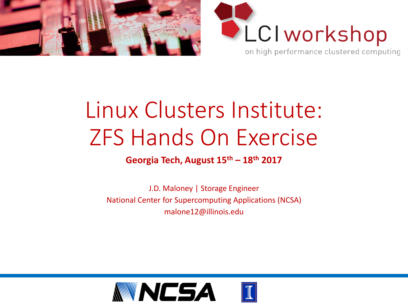



## Linux Clusters Institute: ZFS Hands On Exercise

#### **Georgia Tech, August 15th – 18th 2017**

J.D. Maloney | Storage Engineer National Center for Supercomputing Applications (NCSA) malone12@illinois.edu

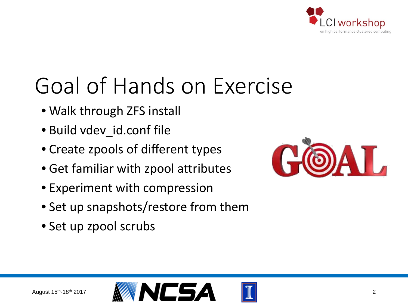

## Goal of Hands on Exercise

- Walk through ZFS install
- Build vdev\_id.conf file
- Create zpools of different types
- Get familiar with zpool attributes
- Experiment with compression
- Set up snapshots/restore from them
- Set up zpool scrubs



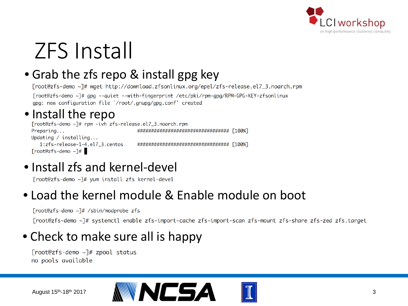

## ZFS Install

### • Grab the zfs repo & install gpg key

[root@zfs-demo ~]# wget http://download.zfsonlinux.org/epel/zfs-release.el7\_3.noarch.rpm [root@zfs-demo ~]# qpq --quiet --with-fingerprint /etc/pki/rpm-qpq/RPM-GPG-KEY-zfsonlinux gpg: new configuration file `/root/.gnupg/gpg.conf' created

### • Install the repo<br>Froot@zfs-demo ~T# rpm -ivh zfs-release.el7\_3.noarch.rpm

################################## [100%] Preparing... Updating  $/$  installing... 1:zfs-release-1-4.el7\_3.centos ################################## [100%]  $[root@zfs-demo ~2]$ #

• Install zfs and kernel-devel

[root@zfs-demo ~]# yum install zfs kernel-devel

### • Load the kernel module & Enable module on boot

[root@zfs-demo ~]# /sbin/modprobe zfs

[root@zfs-demo ~]# systemctl enable zfs-import-cache zfs-import-scan zfs-mount zfs-share zfs-zed zfs.target

### • Check to make sure all is happy

[root@zfs-demo ~]# zpool status no pools available



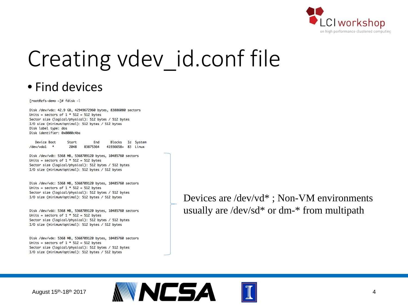

## Creating vdev id.conf file

#### • Find devices

[root@zfs-demo ~]# fdisk -l

Disk /dev/vda: 42.9 GB, 42949672960 bytes, 83886080 sectors Units = sectors of  $1 * 512 = 512$  bytes Sector size (logical/physical): 512 bytes / 512 bytes I/O size (minimum/optimal): 512 bytes / 512 bytes Disk label type: dos Disk identifier: 0x0000c4ba

Device Boot Blocks Id System Start End \* hhv/vdn1 2048 83875364 41936658+ 83 Linux

Disk /dev/vdb: 5368 MB, 5368709120 bytes, 10485760 sectors Units = sectors of  $1 * 512 = 512$  bytes Sector size (logical/physical): 512 bytes / 512 bytes I/O size (minimum/optimal): 512 bytes / 512 bytes

Disk /dev/vdc: 5368 MB, 5368709120 bytes, 10485760 sectors Units = sectors of  $1 * 512 = 512$  bytes Sector size (logical/physical): 512 bytes / 512 bytes I/O size (minimum/optimal): 512 bytes / 512 bytes

Disk /dev/vdd: 5368 MB, 5368709120 bytes, 10485760 sectors Units = sectors of  $1 * 512 = 512$  bytes Sector size (logical/physical): 512 bytes / 512 bytes I/O size (minimum/optimal): 512 bytes / 512 bytes

Disk /dev/vde: 5368 MB, 5368709120 bytes, 10485760 sectors Units = sectors of  $1 * 512 = 512$  bytes Sector size (logical/physical): 512 bytes / 512 bytes I/O size (minimum/optimal): 512 bytes / 512 bytes

Devices are /dev/vd\* ; Non-VM environments usually are /dev/sd\* or dm-\* from multipath



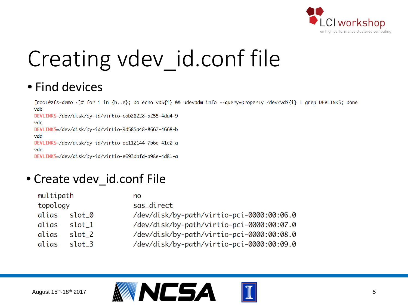

# Creating vdev\_id.conf file

### • Find devices

```
[root@zfs-demo ~]# for i in {b..e}; do echo vd${i} && udevadm info --query=property /dev/vd${i} | grep DEVLINKS; done
vdb
DEVLINKS=/dev/disk/by-id/virtio-cab28228-a255-4da4-9
vdc
DEVLINKS=/dev/disk/by-id/virtio-9d585a48-8667-4668-b
vdd
DEVLINKS=/dev/disk/by-id/virtio-ec112144-7b6e-41e0-a
vde
DEVLINKS=/dev/disk/by-id/virtio-e693dbfd-a98e-4d81-a
```
### • Create vdev\_id.conf File

| multipath |                   | no                                        |
|-----------|-------------------|-------------------------------------------|
| topology  |                   | sas_direct                                |
| alias     | slot_0            | /dev/disk/by-path/virtio-pci-0000:00:06.0 |
| alias     | slot <sub>1</sub> | /dev/disk/by-path/virtio-pci-0000:00:07.0 |
| alias     | slot 2            | /dev/disk/by-path/virtio-pci-0000:00:08.0 |
| alias     | slot 3            | /dev/disk/by-path/virtio-pci-0000:00:09.0 |
|           |                   |                                           |



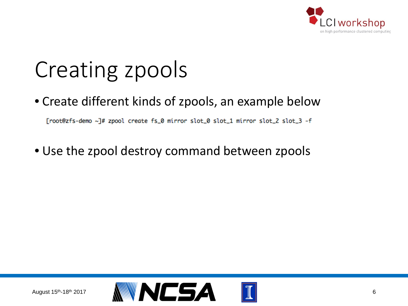

## Creating zpools

• Create different kinds of zpools, an example below

[root@zfs-demo ~]# zpool create fs\_0 mirror slot\_0 slot\_1 mirror slot\_2 slot\_3 -f

• Use the zpool destroy command between zpools

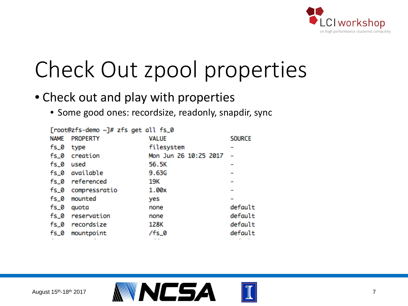

## Check Out zpool properties

### • Check out and play with properties

• Some good ones: recordsize, readonly, snapdir, sync

| [root@zfs-demo ~]# zfs get all fs_0 |                  |                       |               |  |  |
|-------------------------------------|------------------|-----------------------|---------------|--|--|
| <b>NAME</b>                         | <b>PROPERTY</b>  | <b>VALUE</b>          | <b>SOURCE</b> |  |  |
| fs_0                                | type             | filesystem            |               |  |  |
|                                     | fs_0 creation    | Mon Jun 26 10:25 2017 |               |  |  |
| fs_0 used                           |                  | 56.5K                 |               |  |  |
|                                     | fs_0 available   | 9.63G                 |               |  |  |
|                                     | fs_0 referenced  | 19K                   |               |  |  |
| fs_0                                | compressratio    | 1.00x                 |               |  |  |
| fs_0                                | mounted          | yes                   |               |  |  |
| fs_0                                | quota            | none                  | default       |  |  |
|                                     | fs_0 reservation | none                  | default       |  |  |
|                                     | fs_0 recordsize  | 128K                  | default       |  |  |
| fs_0                                | mountpoint       | /fs_0                 | default       |  |  |
|                                     |                  |                       |               |  |  |



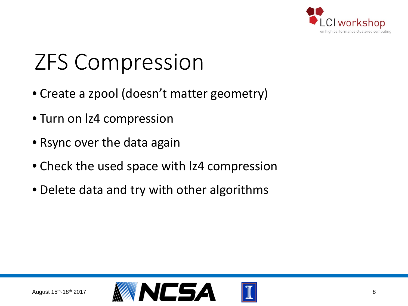

## ZFS Compression

- Create a zpool (doesn't matter geometry)
- Turn on lz4 compression
- Rsync over the data again
- Check the used space with lz4 compression
- Delete data and try with other algorithms

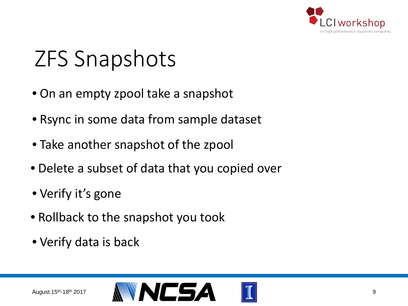

## ZFS Snapshots

- On an empty zpool take a snapshot
- Rsync in some data from sample dataset
- Take another snapshot of the zpool
- Delete a subset of data that you copied over
- Verify it's gone
- Rollback to the snapshot you took
- Verify data is back

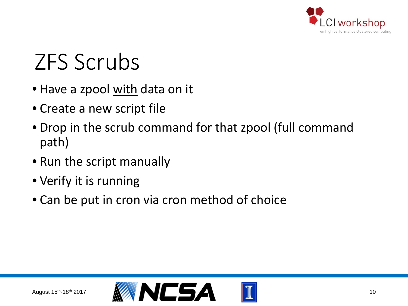

## ZFS Scrubs

- Have a zpool with data on it
- Create a new script file
- Drop in the scrub command for that zpool (full command path)
- Run the script manually
- Verify it is running
- Can be put in cron via cron method of choice